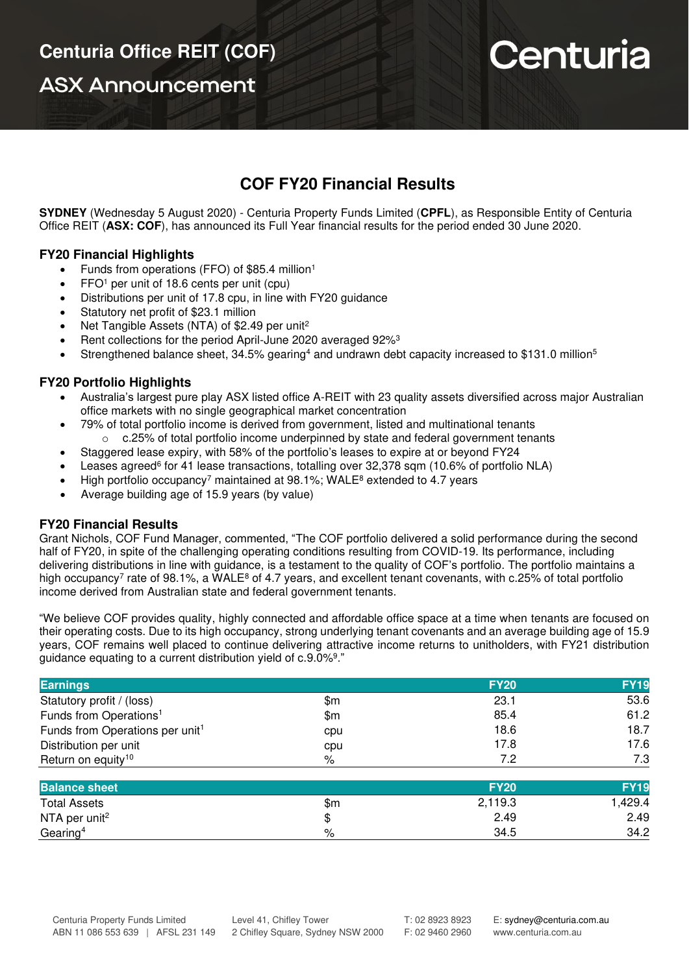**ASX Announcement** 

# Centuria

## **COF FY20 Financial Results**

**SYDNEY** (Wednesday 5 August 2020) - Centuria Property Funds Limited (**CPFL**), as Responsible Entity of Centuria Office REIT (**ASX: COF**), has announced its Full Year financial results for the period ended 30 June 2020.

### **FY20 Financial Highlights**

- Funds from operations (FFO) of \$85.4 million<sup>1</sup>
- FFO<sup>1</sup> per unit of 18.6 cents per unit (cpu)
- Distributions per unit of 17.8 cpu, in line with FY20 guidance
- Statutory net profit of \$23.1 million
- Net Tangible Assets (NTA) of \$2.49 per unit<sup>2</sup>
- Rent collections for the period April-June 2020 averaged 92%<sup>3</sup>
- Strengthened balance sheet, 34.5% gearing<sup>4</sup> and undrawn debt capacity increased to \$131.0 million<sup>5</sup>

### **FY20 Portfolio Highlights**

- Australia's largest pure play ASX listed office A-REIT with 23 quality assets diversified across major Australian office markets with no single geographical market concentration
- 79% of total portfolio income is derived from government, listed and multinational tenants o c.25% of total portfolio income underpinned by state and federal government tenants
- Staggered lease expiry, with 58% of the portfolio's leases to expire at or beyond FY24
- Leases agreed<sup>6</sup> for 41 lease transactions, totalling over 32,378 sqm (10.6% of portfolio NLA)
- High portfolio occupancy<sup>7</sup> maintained at 98.1%; WALE<sup>8</sup> extended to 4.7 years
- Average building age of 15.9 years (by value)

### **FY20 Financial Results**

Grant Nichols, COF Fund Manager, commented, "The COF portfolio delivered a solid performance during the second half of FY20, in spite of the challenging operating conditions resulting from COVID-19. Its performance, including delivering distributions in line with guidance, is a testament to the quality of COF's portfolio. The portfolio maintains a high occupancy<sup>7</sup> rate of 98.1%, a WALE<sup>8</sup> of 4.7 years, and excellent tenant covenants, with c.25% of total portfolio income derived from Australian state and federal government tenants.

"We believe COF provides quality, highly connected and affordable office space at a time when tenants are focused on their operating costs. Due to its high occupancy, strong underlying tenant covenants and an average building age of 15.9 years, COF remains well placed to continue delivering attractive income returns to unitholders, with FY21 distribution guidance equating to a current distribution yield of c.9.0%<sup>9</sup>."

| <b>Earnings</b>                             |      | <b>FY20</b> | <b>FY19</b> |
|---------------------------------------------|------|-------------|-------------|
| Statutory profit / (loss)                   | \$m  | 23.1        | 53.6        |
| Funds from Operations <sup>1</sup>          | \$m  | 85.4        | 61.2        |
| Funds from Operations per unit <sup>1</sup> | cpu  | 18.6        | 18.7        |
| Distribution per unit                       | cpu  | 17.8        | 17.6        |
| Return on equity <sup>10</sup>              | $\%$ | 7.2         | 7.3         |
| <b>Balance sheet</b>                        |      | <b>FY20</b> | <b>FY19</b> |
| <b>Total Assets</b>                         | \$m  | 2,119.3     | 1,429.4     |
| NTA per unit <sup>2</sup>                   | \$   | 2.49        | 2.49        |

Gearing<sup>4</sup> 34.2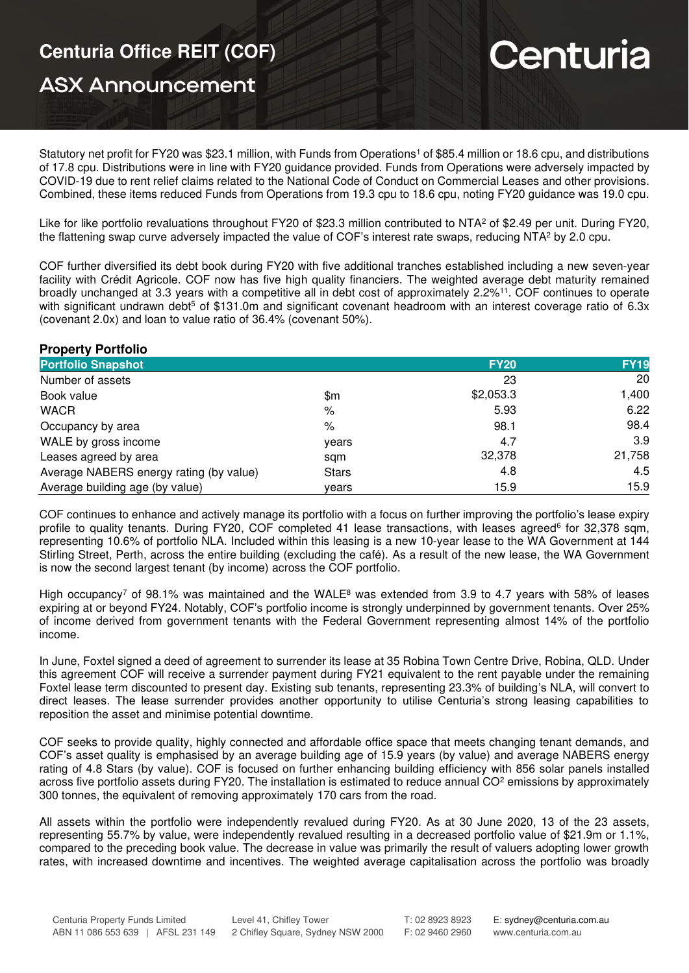# **Centuria Office REIT (COF)**

# **ASX Announcement**

# Centuria

Statutory net profit for FY20 was \$23.1 million, with Funds from Operations<sup>1</sup> of \$85.4 million or 18.6 cpu, and distributions of 17.8 cpu. Distributions were in line with FY20 guidance provided. Funds from Operations were adversely impacted by COVID-19 due to rent relief claims related to the National Code of Conduct on Commercial Leases and other provisions. Combined, these items reduced Funds from Operations from 19.3 cpu to 18.6 cpu, noting FY20 guidance was 19.0 cpu.

Like for like portfolio revaluations throughout FY20 of \$23.3 million contributed to NTA<sup>2</sup> of \$2.49 per unit. During FY20, the flattening swap curve adversely impacted the value of COF's interest rate swaps, reducing NTA<sup>2</sup> by 2.0 cpu.

COF further diversified its debt book during FY20 with five additional tranches established including a new seven-year facility with Crédit Agricole. COF now has five high quality financiers. The weighted average debt maturity remained broadly unchanged at 3.3 years with a competitive all in debt cost of approximately 2.2%<sup>11</sup>. COF continues to operate with significant undrawn debt<sup>5</sup> of \$131.0m and significant covenant headroom with an interest coverage ratio of 6.3x (covenant 2.0x) and loan to value ratio of 36.4% (covenant 50%).

### **Property Portfolio**

| $\cdots$ , $\cdots$ , $\cdots$ , $\cdots$ , $\cdots$ |              |             |             |  |
|------------------------------------------------------|--------------|-------------|-------------|--|
| <b>Portfolio Snapshot</b>                            |              | <b>FY20</b> | <b>FY19</b> |  |
| Number of assets                                     |              | 23          | 20          |  |
| Book value                                           | \$m          | \$2,053.3   | 1,400       |  |
| <b>WACR</b>                                          | %            | 5.93        | 6.22        |  |
| Occupancy by area                                    | %            | 98.1        | 98.4        |  |
| WALE by gross income                                 | years        | 4.7         | 3.9         |  |
| Leases agreed by area                                | sam          | 32,378      | 21,758      |  |
| Average NABERS energy rating (by value)              | <b>Stars</b> | 4.8         | 4.5         |  |
| Average building age (by value)                      | vears        | 15.9        | 15.9        |  |

COF continues to enhance and actively manage its portfolio with a focus on further improving the portfolio's lease expiry profile to quality tenants. During FY20, COF completed 41 lease transactions, with leases agreed<sup>6</sup> for 32,378 sqm, representing 10.6% of portfolio NLA. Included within this leasing is a new 10-year lease to the WA Government at 144 Stirling Street, Perth, across the entire building (excluding the café). As a result of the new lease, the WA Government is now the second largest tenant (by income) across the COF portfolio.

High occupancy<sup>7</sup> of 98.1% was maintained and the WALE<sup>8</sup> was extended from 3.9 to 4.7 years with 58% of leases expiring at or beyond FY24. Notably, COF's portfolio income is strongly underpinned by government tenants. Over 25% of income derived from government tenants with the Federal Government representing almost 14% of the portfolio income.

In June, Foxtel signed a deed of agreement to surrender its lease at 35 Robina Town Centre Drive, Robina, QLD. Under this agreement COF will receive a surrender payment during FY21 equivalent to the rent payable under the remaining Foxtel lease term discounted to present day. Existing sub tenants, representing 23.3% of building's NLA, will convert to direct leases. The lease surrender provides another opportunity to utilise Centuria's strong leasing capabilities to reposition the asset and minimise potential downtime.

COF seeks to provide quality, highly connected and affordable office space that meets changing tenant demands, and COF's asset quality is emphasised by an average building age of 15.9 years (by value) and average NABERS energy rating of 4.8 Stars (by value). COF is focused on further enhancing building efficiency with 856 solar panels installed across five portfolio assets during FY20. The installation is estimated to reduce annual CO<sup>2</sup> emissions by approximately 300 tonnes, the equivalent of removing approximately 170 cars from the road.

All assets within the portfolio were independently revalued during FY20. As at 30 June 2020, 13 of the 23 assets, representing 55.7% by value, were independently revalued resulting in a decreased portfolio value of \$21.9m or 1.1%, compared to the preceding book value. The decrease in value was primarily the result of valuers adopting lower growth rates, with increased downtime and incentives. The weighted average capitalisation across the portfolio was broadly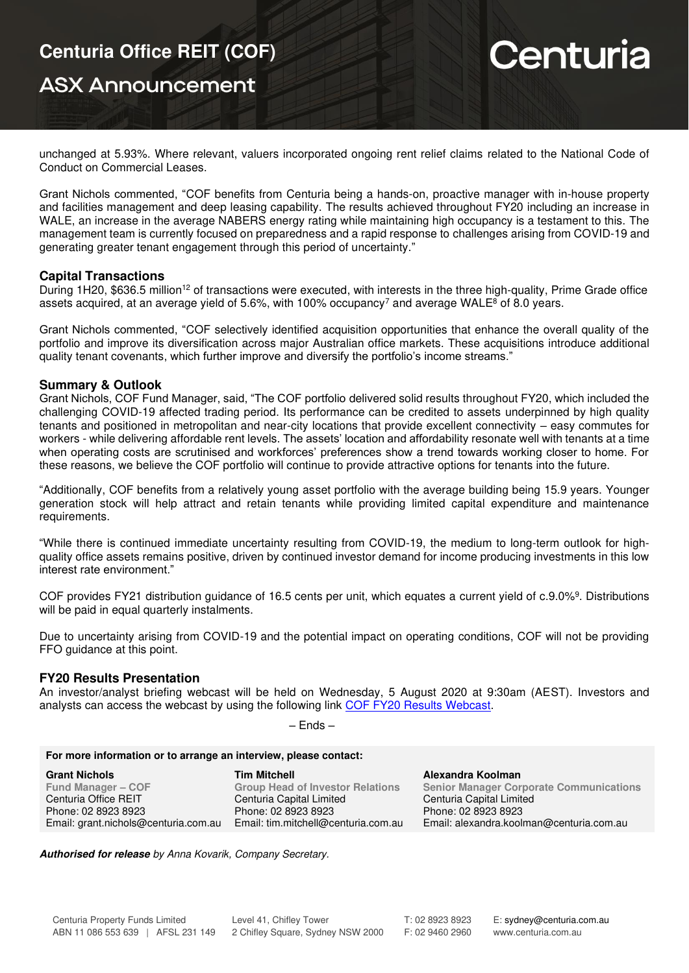## **ASX Announcement**

# Centuria

unchanged at 5.93%. Where relevant, valuers incorporated ongoing rent relief claims related to the National Code of Conduct on Commercial Leases.

Grant Nichols commented, "COF benefits from Centuria being a hands-on, proactive manager with in-house property and facilities management and deep leasing capability. The results achieved throughout FY20 including an increase in WALE, an increase in the average NABERS energy rating while maintaining high occupancy is a testament to this. The management team is currently focused on preparedness and a rapid response to challenges arising from COVID-19 and generating greater tenant engagement through this period of uncertainty."

#### **Capital Transactions**

During 1H20, \$636.5 million<sup>12</sup> of transactions were executed, with interests in the three high-quality, Prime Grade office assets acquired, at an average yield of 5.6%, with 100% occupancy<sup>7</sup> and average WALE<sup>8</sup> of 8.0 years.

Grant Nichols commented, "COF selectively identified acquisition opportunities that enhance the overall quality of the portfolio and improve its diversification across major Australian office markets. These acquisitions introduce additional quality tenant covenants, which further improve and diversify the portfolio's income streams."

#### **Summary & Outlook**

Grant Nichols, COF Fund Manager, said, "The COF portfolio delivered solid results throughout FY20, which included the challenging COVID-19 affected trading period. Its performance can be credited to assets underpinned by high quality tenants and positioned in metropolitan and near-city locations that provide excellent connectivity – easy commutes for workers - while delivering affordable rent levels. The assets' location and affordability resonate well with tenants at a time when operating costs are scrutinised and workforces' preferences show a trend towards working closer to home. For these reasons, we believe the COF portfolio will continue to provide attractive options for tenants into the future.

"Additionally, COF benefits from a relatively young asset portfolio with the average building being 15.9 years. Younger generation stock will help attract and retain tenants while providing limited capital expenditure and maintenance requirements.

"While there is continued immediate uncertainty resulting from COVID-19, the medium to long-term outlook for highquality office assets remains positive, driven by continued investor demand for income producing investments in this low interest rate environment."

COF provides FY21 distribution guidance of 16.5 cents per unit, which equates a current yield of c.9.0%<sup>9</sup>. Distributions will be paid in equal quarterly instalments.

Due to uncertainty arising from COVID-19 and the potential impact on operating conditions, COF will not be providing FFO guidance at this point.

### **FY20 Results Presentation**

An investor/analyst briefing webcast will be held on Wednesday, 5 August 2020 at 9:30am (AEST). Investors and analysts can access the webcast by using the following link [COF FY20 Results Webcast.](https://edge.media-server.com/mmc/p/tux2ed6w)

| ıΓ |  |
|----|--|
|----|--|

| For more information or to arrange an interview, please contact: |                                         |                                                |  |  |
|------------------------------------------------------------------|-----------------------------------------|------------------------------------------------|--|--|
| <b>Grant Nichols</b>                                             | <b>Tim Mitchell</b>                     | Alexandra Koolman                              |  |  |
| <b>Fund Manager – COF</b>                                        | <b>Group Head of Investor Relations</b> | <b>Senior Manager Corporate Communications</b> |  |  |
| Centuria Office REIT                                             | Centuria Capital Limited                | Centuria Capital Limited                       |  |  |
| Phone: 02 8923 8923                                              | Phone: 02 8923 8923                     | Phone: 02 8923 8923                            |  |  |
| Email: grant.nichols@centuria.com.au                             | Email: tim.mitchell@centuria.com.au     | Email: alexandra.koolman@centuria.com.au       |  |  |

**Authorised for release** by Anna Kovarik, Company Secretary.